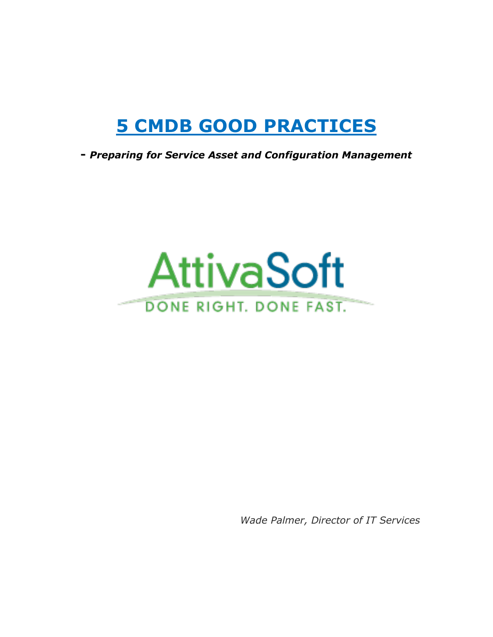# **5 CMDB GOOD PRACTICES**

**-** *Preparing for Service Asset and Configuration Management*



*Wade Palmer, Director of IT Services*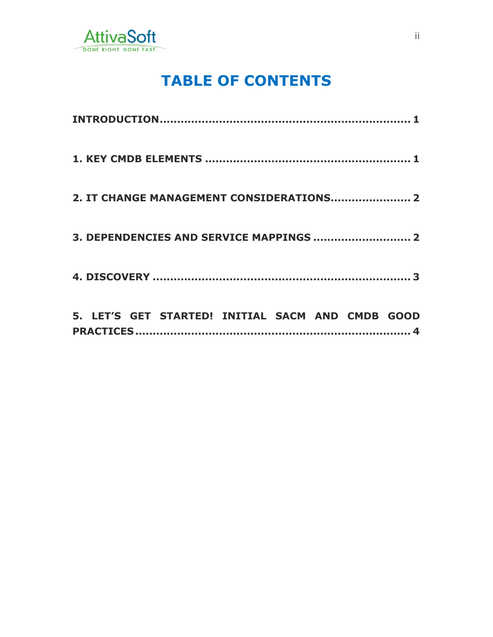

#### **TABLE OF CONTENTS**

| 2. IT CHANGE MANAGEMENT CONSIDERATIONS 2         |
|--------------------------------------------------|
|                                                  |
|                                                  |
| 5. LET'S GET STARTED! INITIAL SACM AND CMDB GOOD |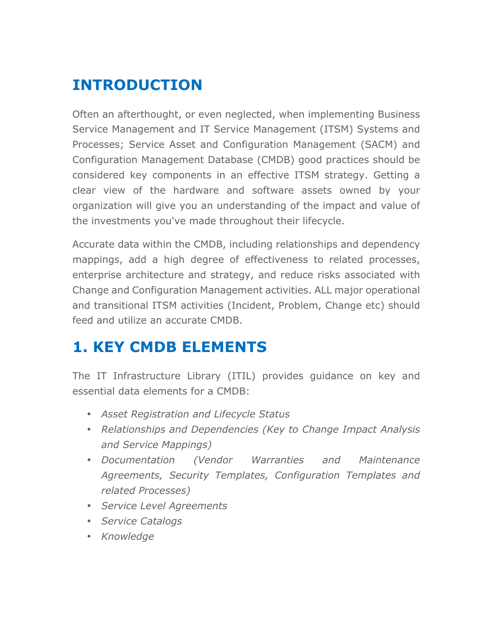## **INTRODUCTION**

Often an afterthought, or even neglected, when implementing Business Service Management and IT Service Management (ITSM) Systems and Processes; Service Asset and Configuration Management (SACM) and Configuration Management Database (CMDB) good practices should be considered key components in an effective ITSM strategy. Getting a clear view of the hardware and software assets owned by your organization will give you an understanding of the impact and value of the investments you've made throughout their lifecycle.

Accurate data within the CMDB, including relationships and dependency mappings, add a high degree of effectiveness to related processes, enterprise architecture and strategy, and reduce risks associated with Change and Configuration Management activities. ALL major operational and transitional ITSM activities (Incident, Problem, Change etc) should feed and utilize an accurate CMDB.

#### **1. KEY CMDB ELEMENTS**

The IT Infrastructure Library (ITIL) provides guidance on key and essential data elements for a CMDB:

- *Asset Registration and Lifecycle Status*
- *Relationships and Dependencies (Key to Change Impact Analysis and Service Mappings)*
- *Documentation (Vendor Warranties and Maintenance Agreements, Security Templates, Configuration Templates and related Processes)*
- *Service Level Agreements*
- *Service Catalogs*
- *Knowledge*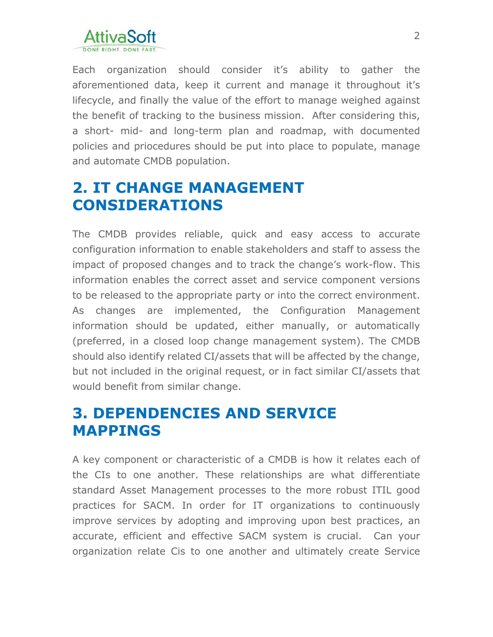

Each organization should consider it's ability to gather the aforementioned data, keep it current and manage it throughout it's lifecycle, and finally the value of the effort to manage weighed against the benefit of tracking to the business mission. After considering this, a short- mid- and long-term plan and roadmap, with documented policies and priocedures should be put into place to populate, manage and automate CMDB population.

#### **2. IT CHANGE MANAGEMENT CONSIDERATIONS**

The CMDB provides reliable, quick and easy access to accurate configuration information to enable stakeholders and staff to assess the impact of proposed changes and to track the change's work-flow. This information enables the correct asset and service component versions to be released to the appropriate party or into the correct environment. As changes are implemented, the Configuration Management information should be updated, either manually, or automatically (preferred, in a closed loop change management system). The CMDB should also identify related CI/assets that will be affected by the change, but not included in the original request, or in fact similar CI/assets that would benefit from similar change.

#### **3. DEPENDENCIES AND SERVICE MAPPINGS**

A key component or characteristic of a CMDB is how it relates each of the CIs to one another. These relationships are what differentiate standard Asset Management processes to the more robust ITIL good practices for SACM. In order for IT organizations to continuously improve services by adopting and improving upon best practices, an accurate, efficient and effective SACM system is crucial. Can your organization relate Cis to one another and ultimately create Service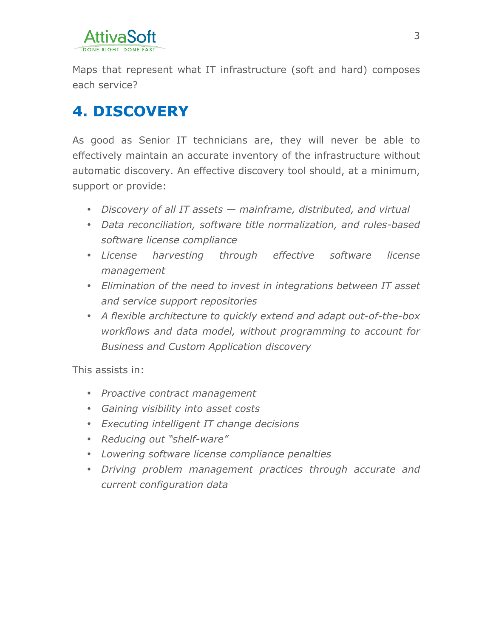

Maps that represent what IT infrastructure (soft and hard) composes each service?

### **4. DISCOVERY**

As good as Senior IT technicians are, they will never be able to effectively maintain an accurate inventory of the infrastructure without automatic discovery. An effective discovery tool should, at a minimum, support or provide:

- *Discovery of all IT assets — mainframe, distributed, and virtual*
- *Data reconciliation, software title normalization, and rules-based software license compliance*
- *License harvesting through effective software license management*
- *Elimination of the need to invest in integrations between IT asset and service support repositories*
- *A flexible architecture to quickly extend and adapt out-of-the-box workflows and data model, without programming to account for Business and Custom Application discovery*

This assists in:

- *Proactive contract management*
- *Gaining visibility into asset costs*
- *Executing intelligent IT change decisions*
- *Reducing out "shelf-ware"*
- *Lowering software license compliance penalties*
- *Driving problem management practices through accurate and current configuration data*